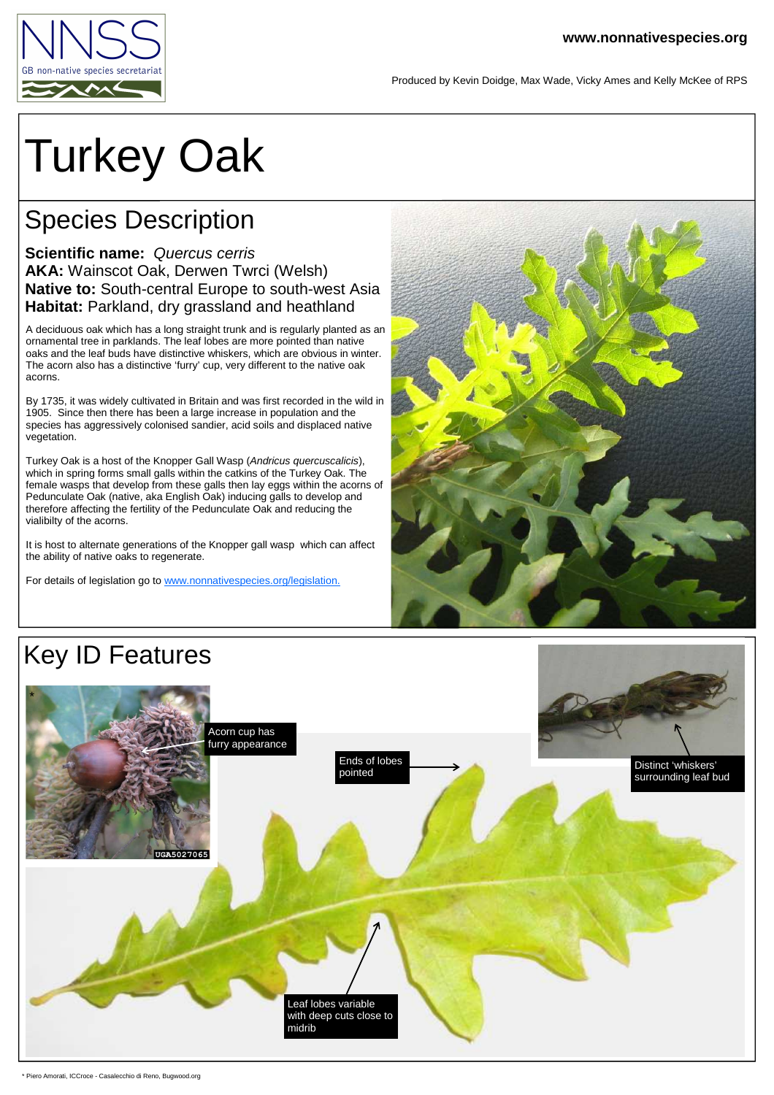

Produced by Kevin Doidge, Max Wade, Vicky Ames and Kelly McKee of RPS

## Turkey Oak

## Species Description

## **Scientific name:** Quercus cerris **AKA:** Wainscot Oak, Derwen Twrci (Welsh) **Native to:** South-central Europe to south-west Asia **Habitat:** Parkland, dry grassland and heathland

A deciduous oak which has a long straight trunk and is regularly planted as an ornamental tree in parklands. The leaf lobes are more pointed than native oaks and the leaf buds have distinctive whiskers, which are obvious in winter. The acorn also has a distinctive 'furry' cup, very different to the native oak acorns.

By 1735, it was widely cultivated in Britain and was first recorded in the wild in 1905. Since then there has been a large increase in population and the species has aggressively colonised sandier, acid soils and displaced native vegetation.

Turkey Oak is a host of the Knopper Gall Wasp (Andricus quercuscalicis), which in spring forms small galls within the catkins of the Turkey Oak. The female wasps that develop from these galls then lay eggs within the acorns of Pedunculate Oak (native, aka English Oak) inducing galls to develop and therefore affecting the fertility of the Pedunculate Oak and reducing the vialibilty of the acorns.

It is host to alternate generations of the Knopper gall wasp which can affect the ability of native oaks to regenerate.

For details of legislation go to www.nonnativespecies.org/legislation.



## Key ID Features



\* Piero Amorati, ICCroce - Casalecchio di Reno, Bugwood.org